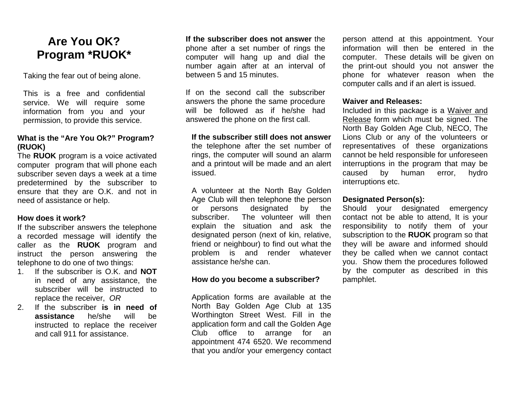# **Are You OK? Program \*RUOK\***

Taking the fear out of being alone.

This is a free and confidential service. We will require some information from you and your permission, to provide this service.

## **What is the "Are You Ok?" Program? (RUOK)**

The **RUOK** program is a voice activated computer program that will phone each subscriber seven days a week at a time predetermined by the subscriber to ensure that they are O.K. and not in need of assistance or help.

## **How does it work?**

If the subscriber answers the telephone a recorded message will identify the caller as the **RUOK** program and instruct the person answering the telephone to do one of two things:

- 1. If the subscriber is O.K. and **NOT** in need of any assistance, the subscriber will be instructed to replace the receiver, *OR*
- 2. If the subscriber **is in need of assistance** he/she will be instructed to replace the receiver and call 911 for assistance.

**If the subscriber does not answer** the phone after a set number of rings the computer will hang up and dial the number again after at an interval of between 5 and 15 minutes.

If on the second call the subscriber answers the phone the same procedure will be followed as if he/she had answered the phone on the first call.

#### **If the subscriber still does not answer**

the telephone after the set number of rings, the computer will sound an alarm and a printout will be made and an alert issued.

A volunteer at the North Bay Golden Age Club will then telephone the person or persons designated by the subscriber. The volunteer will then explain the situation and ask the designated person (next of kin, relative, friend or neighbour) to find out what the problem is and render whatever assistance he/she can.

#### **How do you become a subscriber?**

Application forms are available at the North Bay Golden Age Club at 135 Worthington Street West. Fill in the application form and call the Golden Age Club office to arrange for an appointment 474 6520. We recommend that you and/or your emergency contact person attend at this appointment. Your information will then be entered in the computer. These details will be given on the print-out should you not answer the phone for whatever reason when the computer calls and if an alert is issued.

### **Waiver and Releases:**

Included in this package is a Waiver and Release form which must be signed. The North Bay Golden Age Club, NECO, The Lions Club or any of the volunteers or representatives of these organizations cannot be held responsible for unforeseen interruptions in the program that may be caused by human error, hydro interruptions etc.

#### **Designated Person(s):**

Should your designated emergency contact not be able to attend, It is your responsibility to notify them of your subscription to the **RUOK** program so that they will be aware and informed should they be called when we cannot contact you. Show them the procedures followed by the computer as described in this pamphlet.